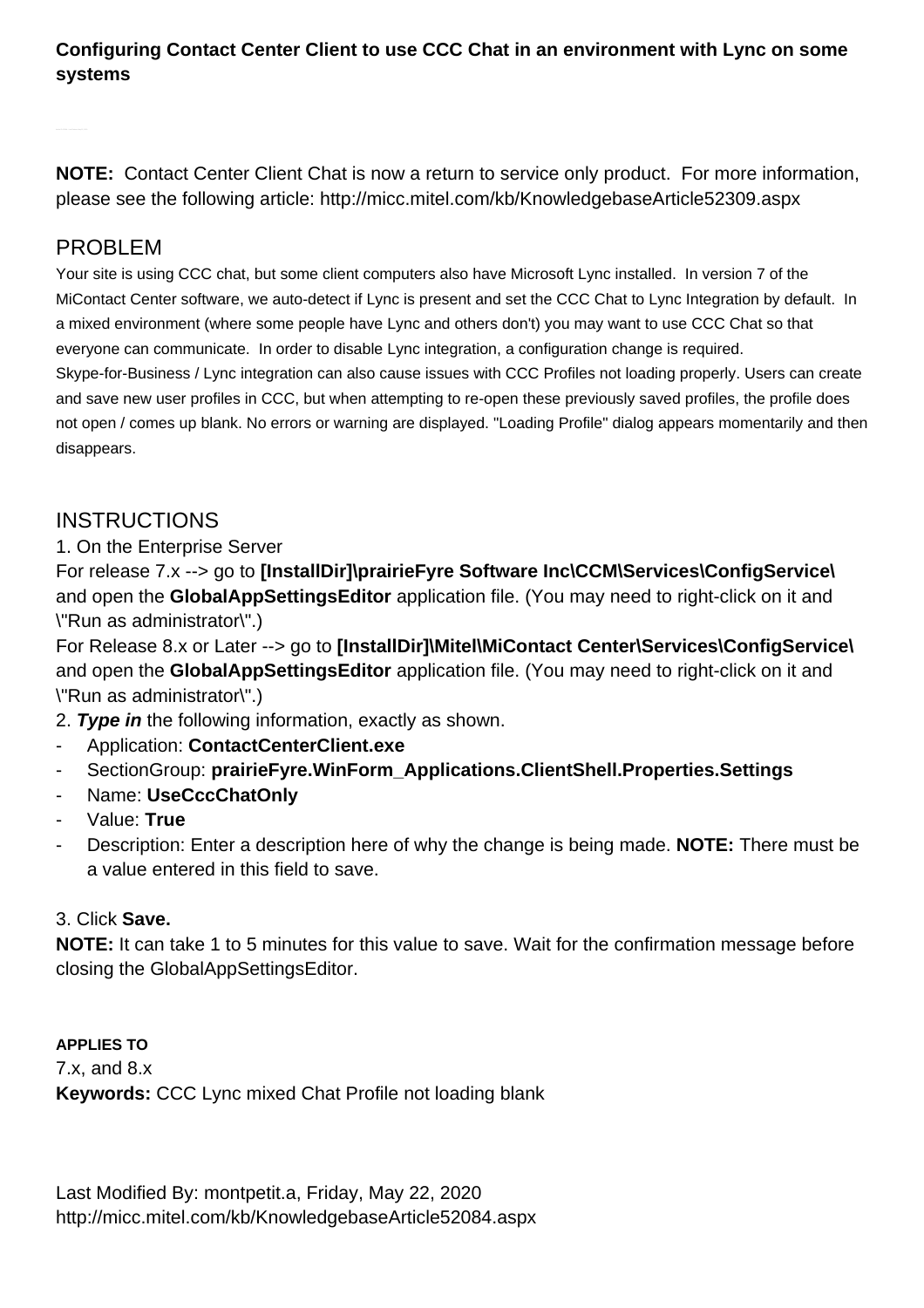## **Configuring Contact Center Client to use CCC Chat in an environment with Lync on some systems**

**NOTE:** Contact Center Client Chat is now a return to service only product. For more information, please see the following article: [http://micc.mitel.com/kb/KnowledgebaseArticle52309.aspx](/kb/KnowledgebaseArticle52309.aspx)

## PROBLEM

Your site is using CCC chat, but some client computers also have Microsoft Lync installed. In version 7 of the MiContact Center software, we auto-detect if Lync is present and set the CCC Chat to Lync Integration by default. In a mixed environment (where some people have Lync and others don't) you may want to use CCC Chat so that everyone can communicate. In order to disable Lync integration, a configuration change is required. Skype-for-Business / Lync integration can also cause issues with CCC Profiles not loading properly. Users can create and save new user profiles in CCC, but when attempting to re-open these previously saved profiles, the profile does not open / comes up blank. No errors or warning are displayed. "Loading Profile" dialog appears momentarily and then disappears.

## **INSTRUCTIONS**

1. On the Enterprise Server

For release 7.x --> go to **[InstallDir]\prairieFyre Software Inc\CCM\Services\ConfigService\**  and open the **GlobalAppSettingsEditor** application file. (You may need to right-click on it and \"Run as administrator\".)

For Release 8.x or Later --> go to **[InstallDir]\Mitel\MiContact Center\Services\ConfigService\**  and open the **GlobalAppSettingsEditor** application file. (You may need to right-click on it and \"Run as administrator\".)

- 2. **Type in** the following information, exactly as shown.
- Application: **ContactCenterClient.exe**
- SectionGroup: **prairieFyre.WinForm\_Applications.ClientShell.Properties.Settings**
- Name: **UseCccChatOnly**
- Value: **True**
- Description: Enter a description here of why the change is being made. **NOTE:** There must be a value entered in this field to save.

## 3. Click **Save.**

**NOTE:** It can take 1 to 5 minutes for this value to save. Wait for the confirmation message before closing the GlobalAppSettingsEditor.

**APPLIES TO** 7.x, and 8.x **Keywords:** CCC Lync mixed Chat Profile not loading blank

Last Modified By: montpetit.a, Friday, May 22, 2020 <http://micc.mitel.com/kb/KnowledgebaseArticle52084.aspx>